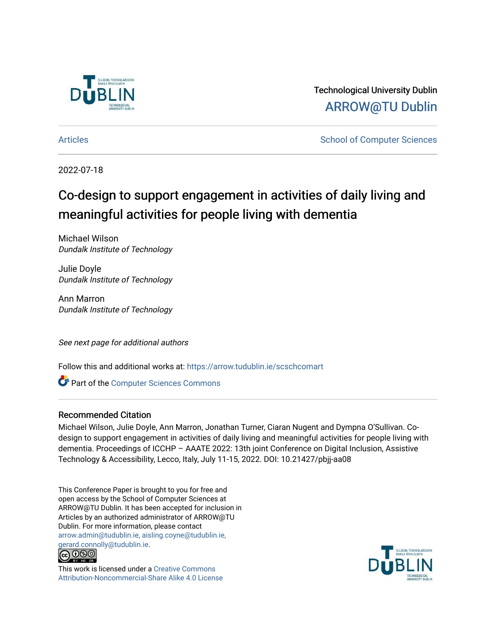

Technological University Dublin [ARROW@TU Dublin](https://arrow.tudublin.ie/) 

[Articles](https://arrow.tudublin.ie/scschcomart) **School of Computer Sciences** School of Computer Sciences

2022-07-18

# Co-design to support engagement in activities of daily living and meaningful activities for people living with dementia

Michael Wilson Dundalk Institute of Technology

Julie Doyle Dundalk Institute of Technology

Ann Marron Dundalk Institute of Technology

See next page for additional authors

Follow this and additional works at: [https://arrow.tudublin.ie/scschcomart](https://arrow.tudublin.ie/scschcomart?utm_source=arrow.tudublin.ie%2Fscschcomart%2F155&utm_medium=PDF&utm_campaign=PDFCoverPages)

**C** Part of the [Computer Sciences Commons](http://network.bepress.com/hgg/discipline/142?utm_source=arrow.tudublin.ie%2Fscschcomart%2F155&utm_medium=PDF&utm_campaign=PDFCoverPages)

### Recommended Citation

Michael Wilson, Julie Doyle, Ann Marron, Jonathan Turner, Ciaran Nugent and Dympna O'Sullivan. Codesign to support engagement in activities of daily living and meaningful activities for people living with dementia. Proceedings of ICCHP – AAATE 2022: 13th joint Conference on Digital Inclusion, Assistive Technology & Accessibility, Lecco, Italy, July 11-15, 2022. DOI: 10.21427/pbjj-aa08

This Conference Paper is brought to you for free and open access by the School of Computer Sciences at ARROW@TU Dublin. It has been accepted for inclusion in Articles by an authorized administrator of ARROW@TU Dublin. For more information, please contact [arrow.admin@tudublin.ie, aisling.coyne@tudublin.ie,](mailto:arrow.admin@tudublin.ie,%20aisling.coyne@tudublin.ie,%20gerard.connolly@tudublin.ie)  [gerard.connolly@tudublin.ie](mailto:arrow.admin@tudublin.ie,%20aisling.coyne@tudublin.ie,%20gerard.connolly@tudublin.ie).



This work is licensed under a [Creative Commons](http://creativecommons.org/licenses/by-nc-sa/4.0/) [Attribution-Noncommercial-Share Alike 4.0 License](http://creativecommons.org/licenses/by-nc-sa/4.0/)

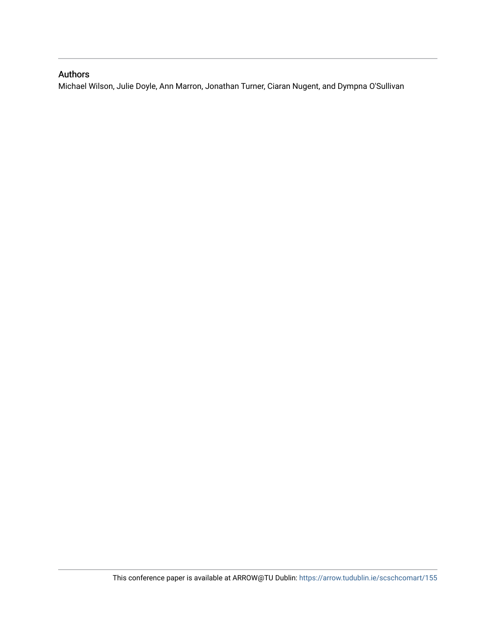## Authors

Michael Wilson, Julie Doyle, Ann Marron, Jonathan Turner, Ciaran Nugent, and Dympna O'Sullivan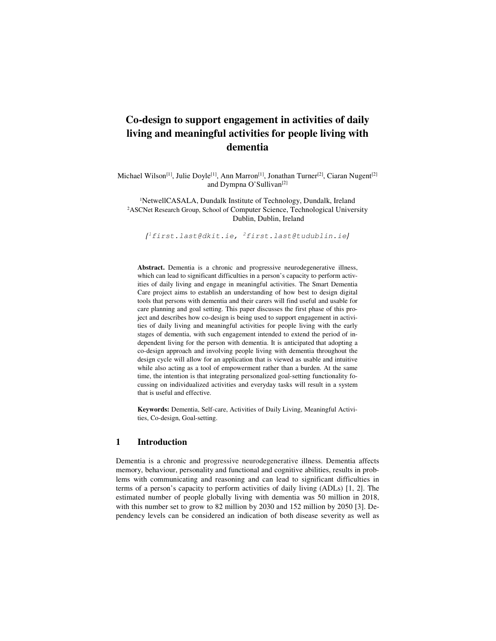# **Co-design to support engagement in activities of daily living and meaningful activities for people living with dementia**

Michael Wilson<sup>[1]</sup>, Julie Doyle<sup>[1]</sup>, Ann Marron<sup>[1]</sup>, Jonathan Turner<sup>[2]</sup>, Ciaran Nugent<sup>[2]</sup> and Dympna O'Sullivan<sup>[2]</sup>

<sup>1</sup>NetwellCASALA, Dundalk Institute of Technology, Dundalk, Ireland <sup>2</sup>ASCNet Research Group, School of Computer Science, Technological University Dublin, Dublin, Ireland

*{* <sup>1</sup>first.last@dkit.ie, <sup>2</sup>first.last@tudublin.ie*}* 

Abstract. Dementia is a chronic and progressive neurodegenerative illness, which can lead to significant difficulties in a person's capacity to perform activities of daily living and engage in meaningful activities. The Smart Dementia Care project aims to establish an understanding of how best to design digital tools that persons with dementia and their carers will find useful and usable for care planning and goal setting. This paper discusses the first phase of this project and describes how co-design is being used to support engagement in activities of daily living and meaningful activities for people living with the early stages of dementia, with such engagement intended to extend the period of independent living for the person with dementia. It is anticipated that adopting a co-design approach and involving people living with dementia throughout the design cycle will allow for an application that is viewed as usable and intuitive while also acting as a tool of empowerment rather than a burden. At the same time, the intention is that integrating personalized goal-setting functionality focussing on individualized activities and everyday tasks will result in a system that is useful and effective.

**Keywords:** Dementia, Self-care, Activities of Daily Living, Meaningful Activities, Co-design, Goal-setting.

#### **1 Introduction**

Dementia is a chronic and progressive neurodegenerative illness. Dementia affects memory, behaviour, personality and functional and cognitive abilities, results in problems with communicating and reasoning and can lead to significant difficulties in terms of a person's capacity to perform activities of daily living (ADLs) [1, 2]. The estimated number of people globally living with dementia was 50 million in 2018, with this number set to grow to 82 million by 2030 and 152 million by 2050 [3]. Dependency levels can be considered an indication of both disease severity as well as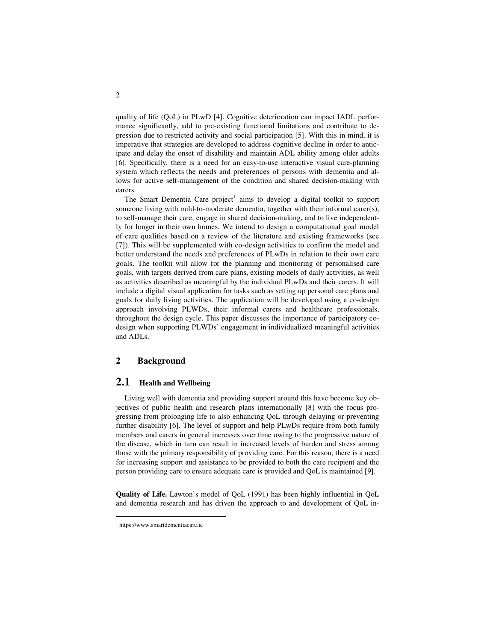quality of life (QoL) in PLwD [4]. Cognitive deterioration can impact IADL performance significantly, add to pre-existing functional limitations and contribute to depression due to restricted activity and social participation [5]. With this in mind, it is imperative that strategies are developed to address cognitive decline in order to anticipate and delay the onset of disability and maintain ADL ability among older adults [6]. Specifically, there is a need for an easy-to-use interactive visual care-planning system which reflects the needs and preferences of persons with dementia and allows for active self-management of the condition and shared decision-making with carers.

The Smart Dementia Care  $project<sup>1</sup>$  aims to develop a digital toolkit to support someone living with mild-to-moderate dementia, together with their informal carer(s), to self-manage their care, engage in shared decision-making, and to live independently for longer in their own homes. We intend to design a computational goal model of care qualities based on a review of the literature and existing frameworks (see [7]). This will be supplemented with co-design activities to confirm the model and better understand the needs and preferences of PLwDs in relation to their own care goals. The toolkit will allow for the planning and monitoring of personalised care goals, with targets derived from care plans, existing models of daily activities, as well as activities described as meaningful by the individual PLwDs and their carers. It will include a digital visual application for tasks such as setting up personal care plans and goals for daily living activities. The application will be developed using a co-design approach involving PLWDs, their informal carers and healthcare professionals, throughout the design cycle. This paper discusses the importance of participatory codesign when supporting PLWDs' engagement in individualized meaningful activities and ADLs.

#### **2 Background**

### **2.1 Health and Wellbeing**

Living well with dementia and providing support around this have become key objectives of public health and research plans internationally [8] with the focus progressing from prolonging life to also enhancing QoL through delaying or preventing further disability [6]. The level of support and help PLwDs require from both family members and carers in general increases over time owing to the progressive nature of the disease, which in turn can result in increased levels of burden and stress among those with the primary responsibility of providing care. For this reason, there is a need for increasing support and assistance to be provided to both the care recipient and the person providing care to ensure adequate care is provided and QoL is maintained [9].

**Quality of Life.** Lawton's model of QoL (1991) has been highly influential in QoL and dementia research and has driven the approach to and development of QoL in-

-

<sup>1</sup> https://www.smartdementiacare.ie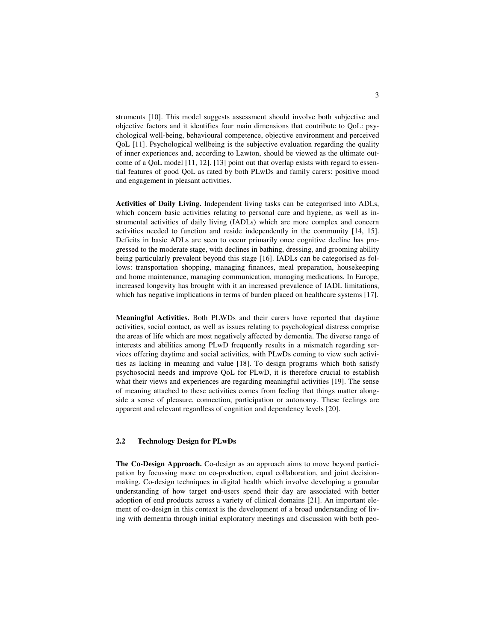struments [10]. This model suggests assessment should involve both subjective and objective factors and it identifies four main dimensions that contribute to QoL: psychological well-being, behavioural competence, objective environment and perceived QoL [11]. Psychological wellbeing is the subjective evaluation regarding the quality of inner experiences and, according to Lawton, should be viewed as the ultimate outcome of a QoL model [11, 12]. [13] point out that overlap exists with regard to essential features of good QoL as rated by both PLwDs and family carers: positive mood and engagement in pleasant activities.

**Activities of Daily Living.** Independent living tasks can be categorised into ADLs, which concern basic activities relating to personal care and hygiene, as well as instrumental activities of daily living (IADLs) which are more complex and concern activities needed to function and reside independently in the community [14, 15]. Deficits in basic ADLs are seen to occur primarily once cognitive decline has progressed to the moderate stage, with declines in bathing, dressing, and grooming ability being particularly prevalent beyond this stage [16]. IADLs can be categorised as follows: transportation shopping, managing finances, meal preparation, housekeeping and home maintenance, managing communication, managing medications. In Europe, increased longevity has brought with it an increased prevalence of IADL limitations, which has negative implications in terms of burden placed on healthcare systems [17].

**Meaningful Activities.** Both PLWDs and their carers have reported that daytime activities, social contact, as well as issues relating to psychological distress comprise the areas of life which are most negatively affected by dementia. The diverse range of interests and abilities among PLwD frequently results in a mismatch regarding services offering daytime and social activities, with PLwDs coming to view such activities as lacking in meaning and value [18]. To design programs which both satisfy psychosocial needs and improve QoL for PLwD, it is therefore crucial to establish what their views and experiences are regarding meaningful activities [19]. The sense of meaning attached to these activities comes from feeling that things matter alongside a sense of pleasure, connection, participation or autonomy. These feelings are apparent and relevant regardless of cognition and dependency levels [20].

#### **2.2 Technology Design for PLwDs**

**The Co-Design Approach.** Co-design as an approach aims to move beyond participation by focussing more on co-production, equal collaboration, and joint decisionmaking. Co-design techniques in digital health which involve developing a granular understanding of how target end-users spend their day are associated with better adoption of end products across a variety of clinical domains [21]. An important element of co-design in this context is the development of a broad understanding of living with dementia through initial exploratory meetings and discussion with both peo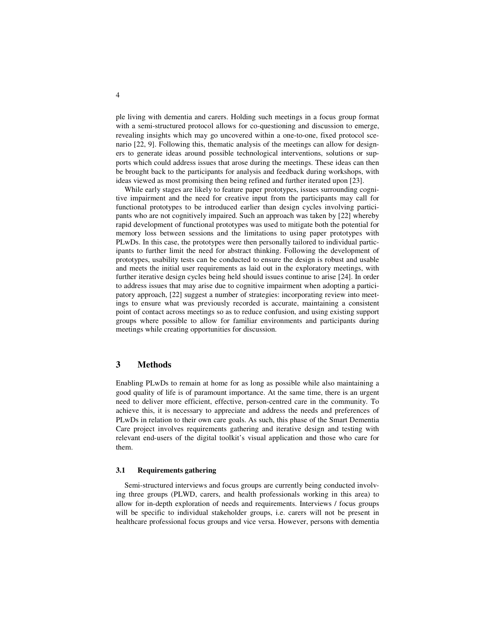ple living with dementia and carers. Holding such meetings in a focus group format with a semi-structured protocol allows for co-questioning and discussion to emerge, revealing insights which may go uncovered within a one-to-one, fixed protocol scenario [22, 9]. Following this, thematic analysis of the meetings can allow for designers to generate ideas around possible technological interventions, solutions or supports which could address issues that arose during the meetings. These ideas can then be brought back to the participants for analysis and feedback during workshops, with ideas viewed as most promising then being refined and further iterated upon [23].

While early stages are likely to feature paper prototypes, issues surrounding cognitive impairment and the need for creative input from the participants may call for functional prototypes to be introduced earlier than design cycles involving participants who are not cognitively impaired. Such an approach was taken by [22] whereby rapid development of functional prototypes was used to mitigate both the potential for memory loss between sessions and the limitations to using paper prototypes with PLwDs. In this case, the prototypes were then personally tailored to individual participants to further limit the need for abstract thinking. Following the development of prototypes, usability tests can be conducted to ensure the design is robust and usable and meets the initial user requirements as laid out in the exploratory meetings, with further iterative design cycles being held should issues continue to arise [24]. In order to address issues that may arise due to cognitive impairment when adopting a participatory approach, [22] suggest a number of strategies: incorporating review into meetings to ensure what was previously recorded is accurate, maintaining a consistent point of contact across meetings so as to reduce confusion, and using existing support groups where possible to allow for familiar environments and participants during meetings while creating opportunities for discussion.

#### **3 Methods**

Enabling PLwDs to remain at home for as long as possible while also maintaining a good quality of life is of paramount importance. At the same time, there is an urgent need to deliver more efficient, effective, person-centred care in the community. To achieve this, it is necessary to appreciate and address the needs and preferences of PLwDs in relation to their own care goals. As such, this phase of the Smart Dementia Care project involves requirements gathering and iterative design and testing with relevant end-users of the digital toolkit's visual application and those who care for them.

#### **3.1 Requirements gathering**

Semi-structured interviews and focus groups are currently being conducted involving three groups (PLWD, carers, and health professionals working in this area) to allow for in-depth exploration of needs and requirements. Interviews / focus groups will be specific to individual stakeholder groups, i.e. carers will not be present in healthcare professional focus groups and vice versa. However, persons with dementia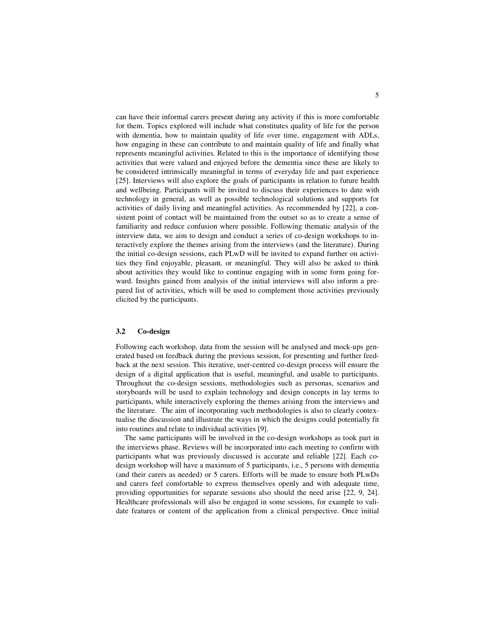can have their informal carers present during any activity if this is more comfortable for them. Topics explored will include what constitutes quality of life for the person with dementia, how to maintain quality of life over time, engagement with ADLs, how engaging in these can contribute to and maintain quality of life and finally what represents meaningful activities. Related to this is the importance of identifying those activities that were valued and enjoyed before the dementia since these are likely to be considered intrinsically meaningful in terms of everyday life and past experience [25]. Interviews will also explore the goals of participants in relation to future health and wellbeing. Participants will be invited to discuss their experiences to date with technology in general, as well as possible technological solutions and supports for activities of daily living and meaningful activities. As recommended by [22], a consistent point of contact will be maintained from the outset so as to create a sense of familiarity and reduce confusion where possible. Following thematic analysis of the interview data, we aim to design and conduct a series of co-design workshops to interactively explore the themes arising from the interviews (and the literature). During the initial co-design sessions, each PLwD will be invited to expand further on activities they find enjoyable, pleasant, or meaningful. They will also be asked to think about activities they would like to continue engaging with in some form going forward. Insights gained from analysis of the initial interviews will also inform a prepared list of activities, which will be used to complement those activities previously elicited by the participants.

#### **3.2 Co-design**

Following each workshop, data from the session will be analysed and mock-ups generated based on feedback during the previous session, for presenting and further feedback at the next session. This iterative, user-centred co-design process will ensure the design of a digital application that is useful, meaningful, and usable to participants. Throughout the co-design sessions, methodologies such as personas, scenarios and storyboards will be used to explain technology and design concepts in lay terms to participants, while interactively exploring the themes arising from the interviews and the literature. The aim of incorporating such methodologies is also to clearly contextualise the discussion and illustrate the ways in which the designs could potentially fit into routines and relate to individual activities [9].

The same participants will be involved in the co-design workshops as took part in the interviews phase. Reviews will be incorporated into each meeting to confirm with participants what was previously discussed is accurate and reliable [22]. Each codesign workshop will have a maximum of 5 participants, i.e., 5 persons with dementia (and their carers as needed) or 5 carers. Efforts will be made to ensure both PLwDs and carers feel comfortable to express themselves openly and with adequate time, providing opportunities for separate sessions also should the need arise [22, 9, 24]. Healthcare professionals will also be engaged in some sessions, for example to validate features or content of the application from a clinical perspective. Once initial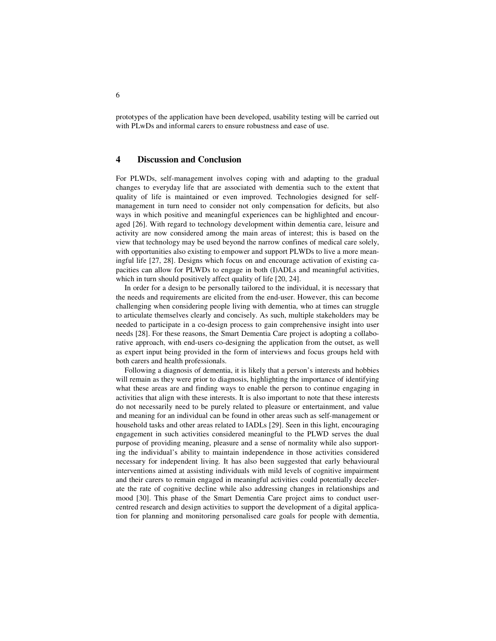prototypes of the application have been developed, usability testing will be carried out with PLwDs and informal carers to ensure robustness and ease of use.

#### **4 Discussion and Conclusion**

For PLWDs, self-management involves coping with and adapting to the gradual changes to everyday life that are associated with dementia such to the extent that quality of life is maintained or even improved. Technologies designed for selfmanagement in turn need to consider not only compensation for deficits, but also ways in which positive and meaningful experiences can be highlighted and encouraged [26]. With regard to technology development within dementia care, leisure and activity are now considered among the main areas of interest; this is based on the view that technology may be used beyond the narrow confines of medical care solely, with opportunities also existing to empower and support PLWDs to live a more meaningful life [27, 28]. Designs which focus on and encourage activation of existing capacities can allow for PLWDs to engage in both (I)ADLs and meaningful activities, which in turn should positively affect quality of life [20, 24].

In order for a design to be personally tailored to the individual, it is necessary that the needs and requirements are elicited from the end-user. However, this can become challenging when considering people living with dementia, who at times can struggle to articulate themselves clearly and concisely. As such, multiple stakeholders may be needed to participate in a co-design process to gain comprehensive insight into user needs [28]. For these reasons, the Smart Dementia Care project is adopting a collaborative approach, with end-users co-designing the application from the outset, as well as expert input being provided in the form of interviews and focus groups held with both carers and health professionals.

Following a diagnosis of dementia, it is likely that a person's interests and hobbies will remain as they were prior to diagnosis, highlighting the importance of identifying what these areas are and finding ways to enable the person to continue engaging in activities that align with these interests. It is also important to note that these interests do not necessarily need to be purely related to pleasure or entertainment, and value and meaning for an individual can be found in other areas such as self-management or household tasks and other areas related to IADLs [29]. Seen in this light, encouraging engagement in such activities considered meaningful to the PLWD serves the dual purpose of providing meaning, pleasure and a sense of normality while also supporting the individual's ability to maintain independence in those activities considered necessary for independent living. It has also been suggested that early behavioural interventions aimed at assisting individuals with mild levels of cognitive impairment and their carers to remain engaged in meaningful activities could potentially decelerate the rate of cognitive decline while also addressing changes in relationships and mood [30]. This phase of the Smart Dementia Care project aims to conduct usercentred research and design activities to support the development of a digital application for planning and monitoring personalised care goals for people with dementia,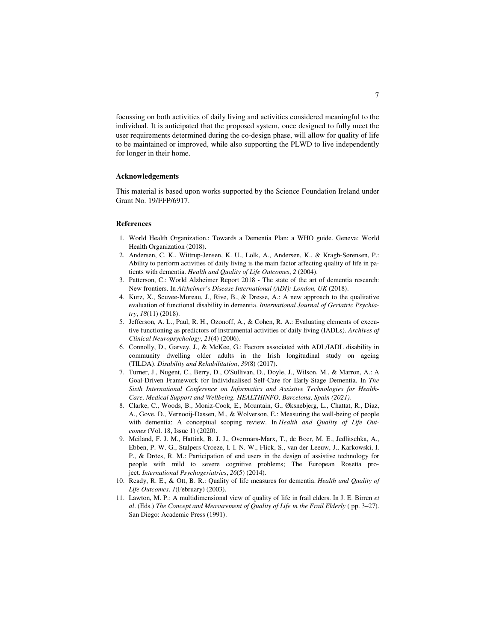focussing on both activities of daily living and activities considered meaningful to the individual. It is anticipated that the proposed system, once designed to fully meet the user requirements determined during the co-design phase, will allow for quality of life to be maintained or improved, while also supporting the PLWD to live independently for longer in their home.

#### **Acknowledgements**

This material is based upon works supported by the Science Foundation Ireland under Grant No. 19/FFP/6917.

#### **References**

- 1. World Health Organization.: Towards a Dementia Plan: a WHO guide. Geneva: World Health Organization (2018).
- 2. Andersen, C. K., Wittrup-Jensen, K. U., Lolk, A., Andersen, K., & Kragh-Sørensen, P.: Ability to perform activities of daily living is the main factor affecting quality of life in patients with dementia. *Health and Quality of Life Outcomes*, *2* (2004).
- 3. Patterson, C.: World Alzheimer Report 2018 The state of the art of dementia research: New frontiers. In *Alzheimer's Disease International (ADI): London, UK* (2018).
- 4. Kurz, X., Scuvee-Moreau, J., Rive, B., & Dresse, A.: A new approach to the qualitative evaluation of functional disability in dementia. *International Journal of Geriatric Psychiatry*, *18*(11) (2018).
- 5. Jefferson, A. L., Paul, R. H., Ozonoff, A., & Cohen, R. A.: Evaluating elements of executive functioning as predictors of instrumental activities of daily living (IADLs). *Archives of Clinical Neuropsychology*, *21*(4) (2006).
- 6. Connolly, D., Garvey, J., & McKee, G.: Factors associated with ADL/IADL disability in community dwelling older adults in the Irish longitudinal study on ageing (TILDA). *Disability and Rehabilitation*, *39*(8) (2017).
- 7. Turner, J., Nugent, C., Berry, D., O'Sullivan, D., Doyle, J., Wilson, M., & Marron, A.: A Goal-Driven Framework for Individualised Self-Care for Early-Stage Dementia. In *The Sixth International Conference on Informatics and Assistive Technologies for Health-Care, Medical Support and Wellbeing. HEALTHINFO, Barcelona, Spain (2021).*
- 8. Clarke, C., Woods, B., Moniz-Cook, E., Mountain, G., Øksnebjerg, L., Chattat, R., Diaz, A., Gove, D., Vernooij-Dassen, M., & Wolverson, E.: Measuring the well-being of people with dementia: A conceptual scoping review. In *Health and Quality of Life Outcomes* (Vol. 18, Issue 1) (2020).
- 9. Meiland, F. J. M., Hattink, B. J. J., Overmars-Marx, T., de Boer, M. E., Jedlitschka, A., Ebben, P. W. G., Stalpers-Croeze, I. I. N. W., Flick, S., van der Leeuw, J., Karkowski, I. P., & Dröes, R. M.: Participation of end users in the design of assistive technology for people with mild to severe cognitive problems; The European Rosetta project. *International Psychogeriatrics*, *26*(5) (2014).
- 10. Ready, R. E., & Ott, B. R.: Quality of life measures for dementia. *Health and Quality of Life Outcomes*, *1*(February) (2003).
- 11. Lawton, M. P.: A multidimensional view of quality of life in frail elders. In J. E. Birren *et al.* (Eds.) *The Concept and Measurement of Quality of Life in the Frail Elderly (pp. 3–27).* San Diego: Academic Press (1991).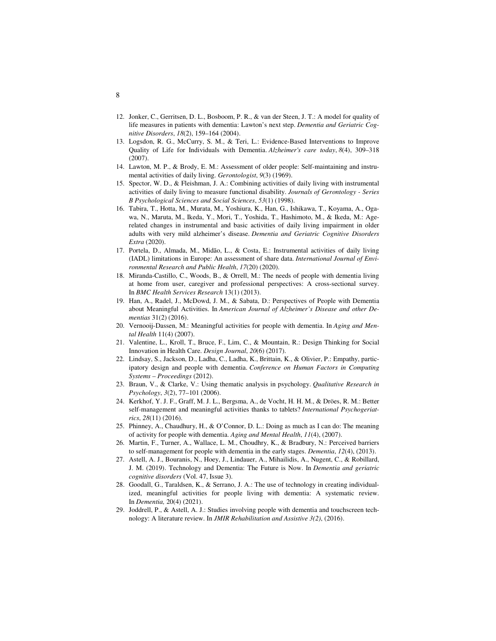- 12. Jonker, C., Gerritsen, D. L., Bosboom, P. R., & van der Steen, J. T.: A model for quality of life measures in patients with dementia: Lawton's next step. *Dementia and Geriatric Cognitive Disorders*, *18*(2), 159–164 (2004).
- 13. Logsdon, R. G., McCurry, S. M., & Teri, L.: Evidence-Based Interventions to Improve Quality of Life for Individuals with Dementia. *Alzheimer's care today*, *8*(4), 309–318 (2007).
- 14. Lawton, M. P., & Brody, E. M.: Assessment of older people: Self-maintaining and instrumental activities of daily living. *Gerontologist*, *9*(3) (1969).
- 15. Spector, W. D., & Fleishman, J. A.: Combining activities of daily living with instrumental activities of daily living to measure functional disability. *Journals of Gerontology - Series B Psychological Sciences and Social Sciences*, *53*(1) (1998).
- 16. Tabira, T., Hotta, M., Murata, M., Yoshiura, K., Han, G., Ishikawa, T., Koyama, A., Ogawa, N., Maruta, M., Ikeda, Y., Mori, T., Yoshida, T., Hashimoto, M., & Ikeda, M.: Agerelated changes in instrumental and basic activities of daily living impairment in older adults with very mild alzheimer's disease. *Dementia and Geriatric Cognitive Disorders Extra* (2020).
- 17. Portela, D., Almada, M., Midão, L., & Costa, E.: Instrumental activities of daily living (IADL) limitations in Europe: An assessment of share data. *International Journal of Environmental Research and Public Health*, *17*(20) (2020).
- 18. Miranda-Castillo, C., Woods, B., & Orrell, M.: The needs of people with dementia living at home from user, caregiver and professional perspectives: A cross-sectional survey. In *BMC Health Services Research* 13(1) (2013).
- 19. Han, A., Radel, J., McDowd, J. M., & Sabata, D.: Perspectives of People with Dementia about Meaningful Activities. In *American Journal of Alzheimer's Disease and other Dementias* 31(2) (2016).
- 20. Vernooij-Dassen, M.: Meaningful activities for people with dementia. In *Aging and Mental Health* 11(4) (2007).
- 21. Valentine, L., Kroll, T., Bruce, F., Lim, C., & Mountain, R.: Design Thinking for Social Innovation in Health Care. *Design Journal*, *20*(6) (2017).
- 22. Lindsay, S., Jackson, D., Ladha, C., Ladha, K., Brittain, K., & Olivier, P.: Empathy, participatory design and people with dementia. *Conference on Human Factors in Computing Systems – Proceedings* (2012).
- 23. Braun, V., & Clarke, V.: Using thematic analysis in psychology. *Qualitative Research in Psychology*, *3*(2), 77–101 (2006).
- 24. Kerkhof, Y. J. F., Graff, M. J. L., Bergsma, A., de Vocht, H. H. M., & Dröes, R. M.: Better self-management and meaningful activities thanks to tablets? *International Psychogeriatrics*, *28*(11) (2016).
- 25. Phinney, A., Chaudhury, H., & O'Connor, D. L.: Doing as much as I can do: The meaning of activity for people with dementia. *Aging and Mental Health*, *11*(4), (2007).
- 26. Martin, F., Turner, A., Wallace, L. M., Choudhry, K., & Bradbury, N.: Perceived barriers to self-management for people with dementia in the early stages. *Dementia*, *12*(4), (2013).
- 27. Astell, A. J., Bouranis, N., Hoey, J., Lindauer, A., Mihailidis, A., Nugent, C., & Robillard, J. M. (2019). Technology and Dementia: The Future is Now. In *Dementia and geriatric cognitive disorders* (Vol. 47, Issue 3).
- 28. Goodall, G., Taraldsen, K., & Serrano, J. A.: The use of technology in creating individualized, meaningful activities for people living with dementia: A systematic review. In *Dementia,* 20(4) (2021).
- 29. Joddrell, P., & Astell, A. J.: Studies involving people with dementia and touchscreen technology: A literature review. In *JMIR Rehabilitation and Assistive 3(2)*, (2016).